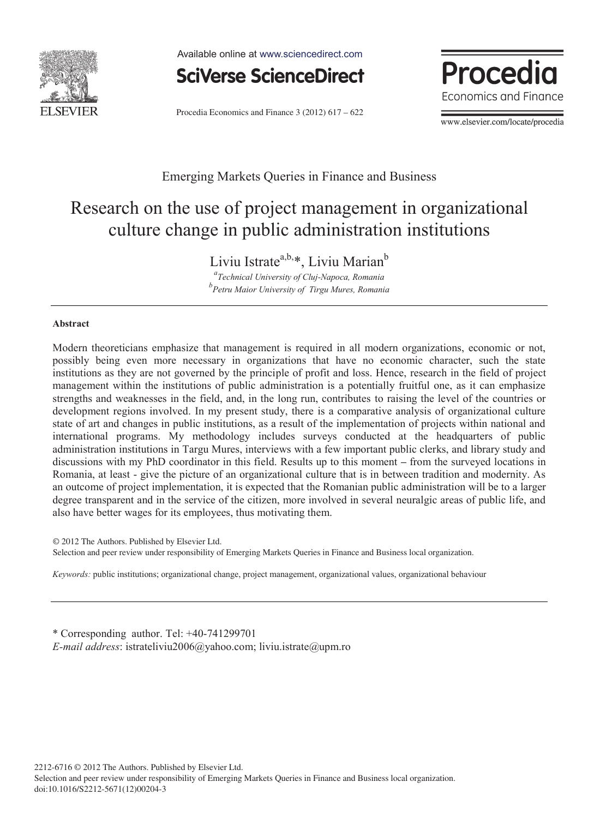

Available online at www.sciencedirect.com



Procedia Economics and Finance 3 (2012) 617 – 622

**Procedio** Economics and Finance

www.elsevier.com/locate/procedia

### Emerging Markets Queries in Finance and Business

# Research on the use of project management in organizational culture change in public administration institutions

Liviu Istrate<sup>a,b,\*</sup>, Liviu Marian<sup>b</sup>

*a Technical University of Cluj-Napoca, Romania b Petru Maior University of Tirgu Mures, Romania* 

### **Abstract**

Modern theoreticians emphasize that management is required in all modern organizations, economic or not, possibly being even more necessary in organizations that have no economic character, such the state institutions as they are not governed by the principle of profit and loss. Hence, research in the field of project management within the institutions of public administration is a potentially fruitful one, as it can emphasize strengths and weaknesses in the field, and, in the long run, contributes to raising the level of the countries or development regions involved. In my present study, there is a comparative analysis of organizational culture state of art and changes in public institutions, as a result of the implementation of projects within national and international programs. My methodology includes surveys conducted at the headquarters of public administration institutions in Targu Mures, interviews with a few important public clerks, and library study and discussions with my PhD coordinator in this field. Results up to this moment – from the surveyed locations in Romania, at least - give the picture of an organizational culture that is in between tradition and modernity. As an outcome of project implementation, it is expected that the Romanian public administration will be to a larger degree transparent and in the service of the citizen, more involved in several neuralgic areas of public life, and also have better wages for its employees, thus motivating them.

© 2012 The Authors. Published by Elsevier Ltd. Selection and peer review under responsibility of Emerging Markets Queries in Finance and Business local organization.

*Keywords:* public institutions; organizational change, project management, organizational values, organizational behaviour

\* Corresponding author. Tel: +40-741299701 *E-mail address*: istrateliviu2006@yahoo.com; liviu.istrate@upm.ro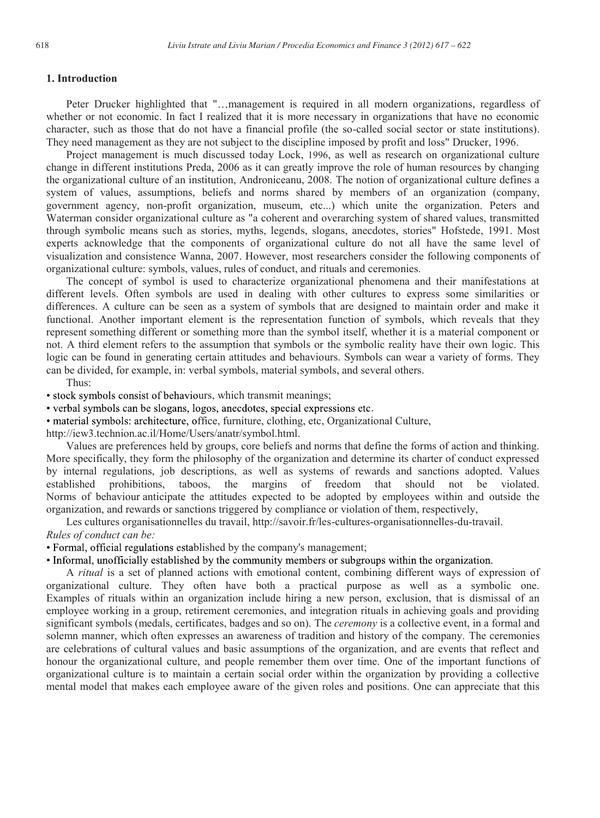#### **1. Introduction**

Peter Drucker highlighted that "...management is required in all modern organizations, regardless of whether or not economic. In fact I realized that it is more necessary in organizations that have no economic character, such as those that do not have a financial profile (the so-called social sector or state institutions). They need management as they are not subject to the discipline imposed by profit and loss" Drucker, 1996.

Project management is much discussed today Lock, 1996, as well as research on organizational culture change in different institutions Preda, 2006 as it can greatly improve the role of human resources by changing the organizational culture of an institution, Androniceanu, 2008. The notion of organizational culture defines a system of values, assumptions, beliefs and norms shared by members of an organization (company, government agency, non-profit organization, museum, etc...) which unite the organization. Peters and Waterman consider organizational culture as "a coherent and overarching system of shared values, transmitted through symbolic means such as stories, myths, legends, slogans, anecdotes, stories" Hofstede, 1991. Most experts acknowledge that the components of organizational culture do not all have the same level of visualization and consistence Wanna, 2007. However, most researchers consider the following components of organizational culture: symbols, values, rules of conduct, and rituals and ceremonies.

The concept of symbol is used to characterize organizational phenomena and their manifestations at different levels. Often symbols are used in dealing with other cultures to express some similarities or differences. A culture can be seen as a system of symbols that are designed to maintain order and make it functional. Another important element is the representation function of symbols, which reveals that they represent something different or something more than the symbol itself, whether it is a material component or not. A third element refers to the assumption that symbols or the symbolic reality have their own logic. This logic can be found in generating certain attitudes and behaviours. Symbols can wear a variety of forms. They can be divided, for example, in: verbal symbols, material symbols, and several others.

Thus:

• stock symbols consist of behaviours, which transmit meanings;

• verbal symbols can be slogans, logos, anecdotes, special expressions etc.

 $\bullet$  material symbols: architecture, office, furniture, clothing, etc, Organizational Culture,

http://iew3.technion.ac.il/Home/Users/anatr/symbol.html.

Values are preferences held by groups, core beliefs and norms that define the forms of action and thinking. More specifically, they form the philosophy of the organization and determine its charter of conduct expressed by internal regulations, job descriptions, as well as systems of rewards and sanctions adopted. Values established prohibitions, taboos, the margins of freedom that should not be violated. Norms of behaviour anticipate the attitudes expected to be adopted by employees within and outside the organization, and rewards or sanctions triggered by compliance or violation of them, respectively,

Les cultures organisationnelles du travail, http://savoir.fr/les-cultures-organisationnelles-du-travail. *Rules of conduct can be:*

• Formal, official regulations established by the company's management;

• Informal, unofficially established by the community members or subgroups within the organization.

A *ritual* is a set of planned actions with emotional content, combining different ways of expression of organizational culture. They often have both a practical purpose as well as a symbolic one. Examples of rituals within an organization include hiring a new person, exclusion, that is dismissal of an employee working in a group, retirement ceremonies, and integration rituals in achieving goals and providing significant symbols (medals, certificates, badges and so on). The *ceremony* is a collective event, in a formal and solemn manner, which often expresses an awareness of tradition and history of the company. The ceremonies are celebrations of cultural values and basic assumptions of the organization, and are events that reflect and honour the organizational culture, and people remember them over time. One of the important functions of organizational culture is to maintain a certain social order within the organization by providing a collective mental model that makes each employee aware of the given roles and positions. One can appreciate that this